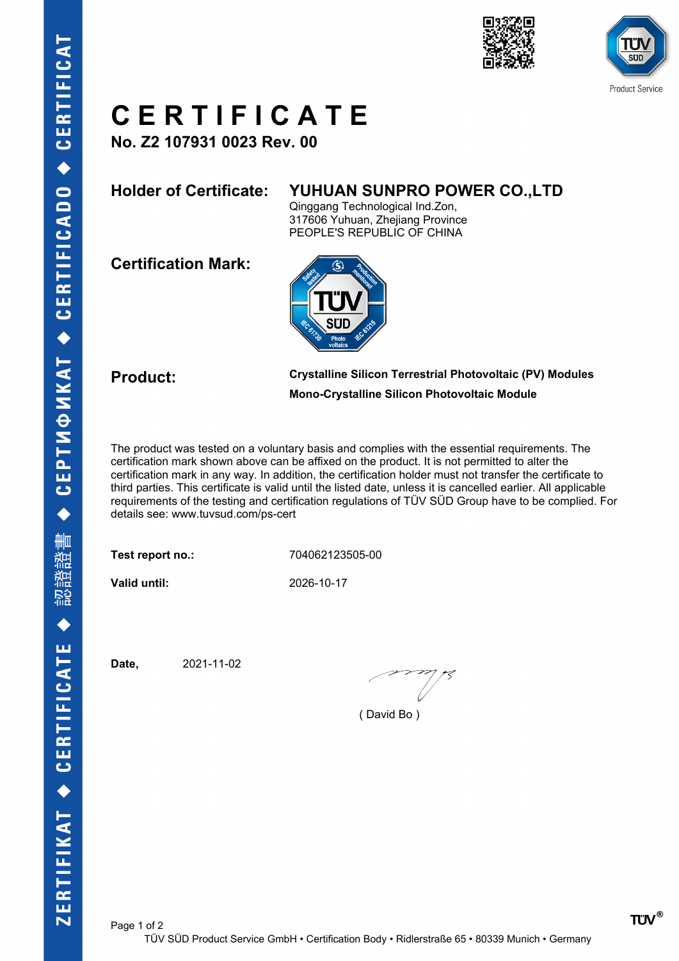



## **C E R T I F I C A T E**

**No. Z2 107931 0023 Rev. 00**

## **Holder of Certificate: YUHUAN SUNPRO POWER CO.,LTD**

Qinggang Technological Ind.Zon, 317606 Yuhuan, Zhejiang Province PEOPLE'S REPUBLIC OF CHINA

**Certification Mark:**



**Product: Crystalline Silicon Terrestrial Photovoltaic (PV) Modules Mono-Crystalline Silicon Photovoltaic Module**

The product was tested on a voluntary basis and complies with the essential requirements. The certification mark shown above can be affixed on the product. It is not permitted to alter the certification mark in any way. In addition, the certification holder must not transfer the certificate to third parties. This certificate is valid until the listed date, unless it is cancelled earlier. All applicable requirements of the testing and certification regulations of TÜV SÜD Group have to be complied. For details see: www.tuvsud.com/ps-cert

**Test report no.:** 704062123505-00

**Valid until:** 2026-10-17

**Date,** 2021-11-02

( David Bo )